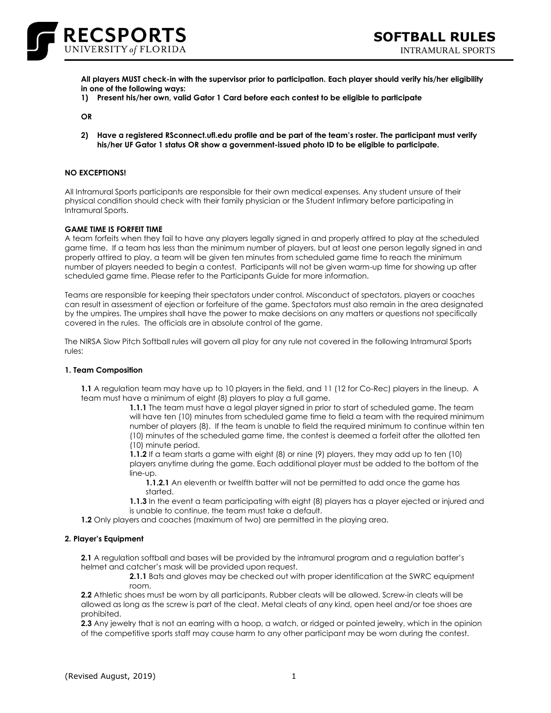

**All players MUST check-in with the supervisor prior to participation. Each player should verify his/her eligibility in one of the following ways:**

**1) Present his/her own, valid Gator 1 Card before each contest to be eligible to participate**

**OR**

**2) Have a registered RSconnect.ufl.edu profile and be part of the team's roster. The participant must verify his/her UF Gator 1 status OR show a government-issued photo ID to be eligible to participate.**

### **NO EXCEPTIONS!**

All Intramural Sports participants are responsible for their own medical expenses. Any student unsure of their physical condition should check with their family physician or the Student Infirmary before participating in Intramural Sports.

#### **GAME TIME IS FORFEIT TIME**

A team forfeits when they fail to have any players legally signed in and properly attired to play at the scheduled game time. If a team has less than the minimum number of players, but at least one person legally signed in and properly attired to play, a team will be given ten minutes from scheduled game time to reach the minimum number of players needed to begin a contest. Participants will not be given warm-up time for showing up after scheduled game time. Please refer to the Participants Guide for more information.

Teams are responsible for keeping their spectators under control. Misconduct of spectators, players or coaches can result in assessment of ejection or forfeiture of the game. Spectators must also remain in the area designated by the umpires. The umpires shall have the power to make decisions on any matters or questions not specifically covered in the rules. The officials are in absolute control of the game.

The NIRSA Slow Pitch Softball rules will govern all play for any rule not covered in the following Intramural Sports rules:

#### **1. Team Composition**

**1.1** A regulation team may have up to 10 players in the field, and 11 (12 for Co-Rec) players in the lineup. A team must have a minimum of eight (8) players to play a full game.

**1.1.1** The team must have a legal player signed in prior to start of scheduled game. The team will have ten (10) minutes from scheduled game time to field a team with the required minimum number of players (8). If the team is unable to field the required minimum to continue within ten (10) minutes of the scheduled game time, the contest is deemed a forfeit after the allotted ten (10) minute period.

**1.1.2** If a team starts a game with eight (8) or nine (9) players, they may add up to ten (10) players anytime during the game. Each additional player must be added to the bottom of the line-up.

**1.1.2.1** An eleventh or twelfth batter will not be permitted to add once the game has started.

**1.1.3** In the event a team participating with eight (8) players has a player ejected or injured and is unable to continue, the team must take a default.

**1.2** Only players and coaches (maximum of two) are permitted in the playing area.

#### **2. Player's Equipment**

**2.1** A regulation softball and bases will be provided by the intramural program and a regulation batter's helmet and catcher's mask will be provided upon request.

**2.1.1** Bats and gloves may be checked out with proper identification at the SWRC equipment room.

**2.2** Athletic shoes must be worn by all participants. Rubber cleats will be allowed. Screw-in cleats will be allowed as long as the screw is part of the cleat. Metal cleats of any kind, open heel and/or toe shoes are prohibited.

**2.3** Any jewelry that is not an earring with a hoop, a watch, or ridged or pointed jewelry, which in the opinion of the competitive sports staff may cause harm to any other participant may be worn during the contest.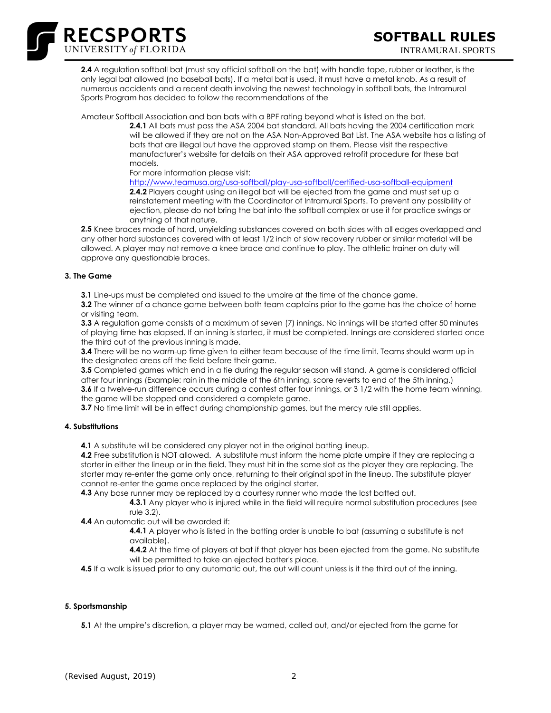

**2.4** A regulation softball bat (must say official softball on the bat) with handle tape, rubber or leather, is the only legal bat allowed (no baseball bats). If a metal bat is used, it must have a metal knob. As a result of numerous accidents and a recent death involving the newest technology in softball bats, the Intramural Sports Program has decided to follow the recommendations of the

Amateur Softball Association and ban bats with a BPF rating beyond what is listed on the bat.

**2.4.1** All bats must pass the ASA 2004 bat standard. All bats having the 2004 certification mark will be allowed if they are not on the ASA Non-Approved Bat List. The ASA website has a listing of bats that are illegal but have the approved stamp on them. Please visit the respective manufacturer's website for details on their ASA approved retrofit procedure for these bat models.

For more information please visit:

<http://www.teamusa.org/usa-softball/play-usa-softball/certified-usa-softball-equipment> **2.4.2** Players caught using an illegal bat will be ejected from the game and must set up a reinstatement meeting with the Coordinator of Intramural Sports. To prevent any possibility of ejection, please do not bring the bat into the softball complex or use it for practice swings or anything of that nature.

**2.5** Knee braces made of hard, unyielding substances covered on both sides with all edges overlapped and any other hard substances covered with at least 1/2 inch of slow recovery rubber or similar material will be allowed. A player may not remove a knee brace and continue to play. The athletic trainer on duty will approve any questionable braces.

### **3. The Game**

**3.1** Line-ups must be completed and issued to the umpire at the time of the chance game.

**3.2** The winner of a chance game between both team captains prior to the game has the choice of home or visiting team.

**3.3** A regulation game consists of a maximum of seven (7) innings. No innings will be started after 50 minutes of playing time has elapsed. If an inning is started, it must be completed. Innings are considered started once the third out of the previous inning is made.

**3.4** There will be no warm-up time given to either team because of the time limit. Teams should warm up in the designated areas off the field before their game.

**3.5** Completed games which end in a tie during the regular season will stand. A game is considered official after four innings (Example: rain in the middle of the 6th inning, score reverts to end of the 5th inning.)

**3.6** If a twelve-run difference occurs during a contest after four innings, or 3 1/2 with the home team winning, the game will be stopped and considered a complete game.

**3.7** No time limit will be in effect during championship games, but the mercy rule still applies.

# **4. Substitutions**

**4.1** A substitute will be considered any player not in the original batting lineup.

**4.2** Free substitution is NOT allowed. A substitute must inform the home plate umpire if they are replacing a starter in either the lineup or in the field. They must hit in the same slot as the player they are replacing. The starter may re-enter the game only once, returning to their original spot in the lineup. The substitute player cannot re-enter the game once replaced by the original starter.

**4.3** Any base runner may be replaced by a courtesy runner who made the last batted out.

**4.3.1** Any player who is injured while in the field will require normal substitution procedures (see rule 3.2).

**4.4** An automatic out will be awarded if:

**4.4.1** A player who is listed in the batting order is unable to bat (assuming a substitute is not available).

**4.4.2** At the time of players at bat if that player has been ejected from the game. No substitute will be permitted to take an ejected batter's place.

**4.5** If a walk is issued prior to any automatic out, the out will count unless is it the third out of the inning.

### **5. Sportsmanship**

**5.1** At the umpire's discretion, a player may be warned, called out, and/or ejected from the game for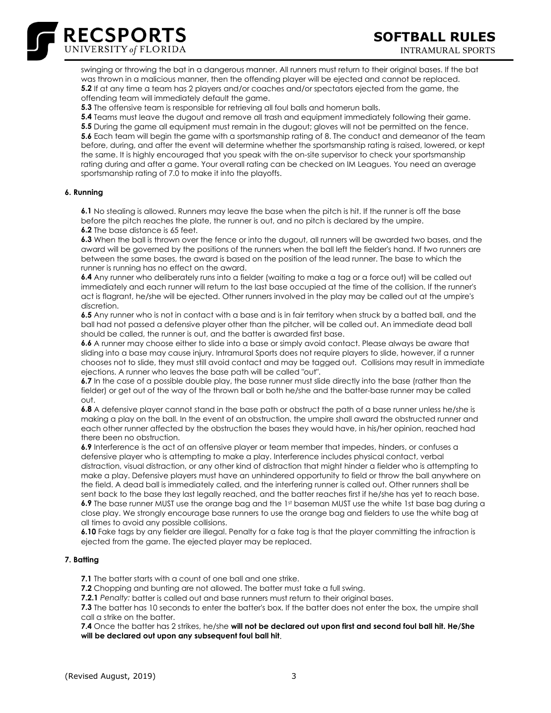

swinging or throwing the bat in a dangerous manner. All runners must return to their original bases. If the bat was thrown in a malicious manner, then the offending player will be ejected and cannot be replaced. **5.2** If at any time a team has 2 players and/or coaches and/or spectators ejected from the game, the offending team will immediately default the game.

**5.3** The offensive team is responsible for retrieving all foul balls and homerun balls.

**5.4** Teams must leave the dugout and remove all trash and equipment immediately following their game. **5.5** During the game all equipment must remain in the dugout; gloves will not be permitted on the fence. **5.6** Each team will begin the game with a sportsmanship rating of 8. The conduct and demeanor of the team before, during, and after the event will determine whether the sportsmanship rating is raised, lowered, or kept the same. It is highly encouraged that you speak with the on-site supervisor to check your sportsmanship rating during and after a game. Your overall rating can be checked on IM Leagues. You need an average sportsmanship rating of 7.0 to make it into the playoffs.

### **6. Running**

**6.1** No stealing is allowed. Runners may leave the base when the pitch is hit. If the runner is off the base before the pitch reaches the plate, the runner is out, and no pitch is declared by the umpire. **6.2** The base distance is 65 feet.

**6.3** When the ball is thrown over the fence or into the dugout, all runners will be awarded two bases, and the award will be governed by the positions of the runners when the ball left the fielder's hand. If two runners are between the same bases, the award is based on the position of the lead runner. The base to which the runner is running has no effect on the award.

**6.4** Any runner who deliberately runs into a fielder (waiting to make a tag or a force out) will be called out immediately and each runner will return to the last base occupied at the time of the collision. If the runner's act is flagrant, he/she will be ejected. Other runners involved in the play may be called out at the umpire's discretion.

**6.5** Any runner who is not in contact with a base and is in fair territory when struck by a batted ball, and the ball had not passed a defensive player other than the pitcher, will be called out. An immediate dead ball should be called, the runner is out, and the batter is awarded first base.

**6.6** A runner may choose either to slide into a base or simply avoid contact. Please always be aware that sliding into a base may cause injury. Intramural Sports does not require players to slide, however, if a runner chooses not to slide, they must still avoid contact and may be tagged out. Collisions may result in immediate ejections. A runner who leaves the base path will be called "out".

**6.7** In the case of a possible double play, the base runner must slide directly into the base (rather than the fielder) or get out of the way of the thrown ball or both he/she and the batter-base runner may be called out.

**6.8** A defensive player cannot stand in the base path or obstruct the path of a base runner unless he/she is making a play on the ball. In the event of an obstruction, the umpire shall award the obstructed runner and each other runner affected by the obstruction the bases they would have, in his/her opinion, reached had there been no obstruction.

**6.9** Interference is the act of an offensive player or team member that impedes, hinders, or confuses a defensive player who is attempting to make a play. Interference includes physical contact, verbal distraction, visual distraction, or any other kind of distraction that might hinder a fielder who is attempting to make a play. Defensive players must have an unhindered opportunity to field or throw the ball anywhere on the field. A dead ball is immediately called, and the interfering runner is called out. Other runners shall be sent back to the base they last legally reached, and the batter reaches first if he/she has yet to reach base. **6.9** The base runner MUST use the orange bag and the 1st baseman MUST use the white 1st base bag during a close play. We strongly encourage base runners to use the orange bag and fielders to use the white bag at all times to avoid any possible collisions.

**6.10** Fake tags by any fielder are illegal. Penalty for a fake tag is that the player committing the infraction is ejected from the game. The ejected player may be replaced.

### **7. Batting**

**7.1** The batter starts with a count of one ball and one strike.

**7.2** Chopping and bunting are not allowed. The batter must take a full swing.

**7.2.1** Penalty: batter is called out and base runners must return to their original bases.

**7.3** The batter has 10 seconds to enter the batter's box. If the batter does not enter the box, the umpire shall call a strike on the batter.

**7.4** Once the batter has 2 strikes, he/she **will not be declared out upon first and second foul ball hit. He/She will be declared out upon any subsequent foul ball hit**.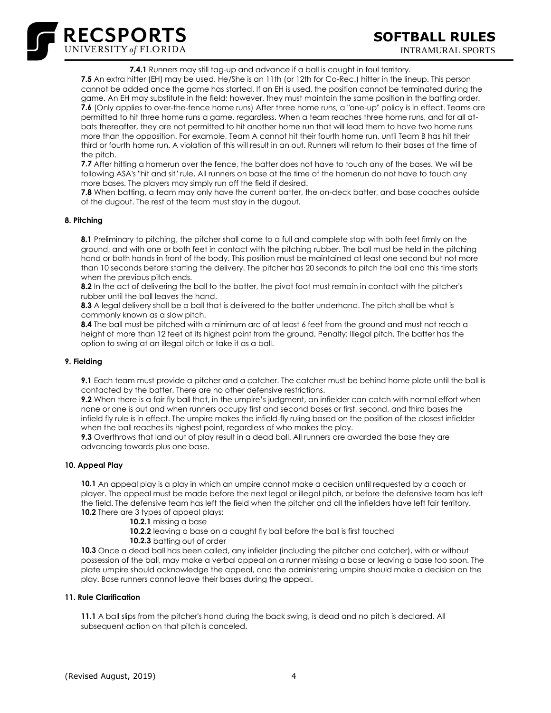**7.4.1** Runners may still tag-up and advance if a ball is caught in foul territory.

**7.5** An extra hitter (EH) may be used. He/She is an 11th (or 12th for Co-Rec.) hitter in the lineup. This person cannot be added once the game has started. If an EH is used, the position cannot be terminated during the game. An EH may substitute in the field; however, they must maintain the same position in the batting order. 7.6 (Only applies to over-the-fence home runs) After three home runs, a "one-up" policy is in effect. Teams are permitted to hit three home runs a game, regardless. When a team reaches three home runs, and for all atbats thereafter, they are not permitted to hit another home run that will lead them to have two home runs more than the opposition. For example, Team A cannot hit their fourth home run, until Team B has hit their third or fourth home run. A violation of this will result in an out. Runners will return to their bases at the time of the pitch.

**7.7** After hitting a homerun over the fence, the batter does not have to touch any of the bases. We will be following ASA's "hit and sit" rule. All runners on base at the time of the homerun do not have to touch any more bases. The players may simply run off the field if desired.

**7.8** When batting, a team may only have the current batter, the on-deck batter, and base coaches outside of the dugout. The rest of the team must stay in the dugout.

### **8. Pitching**

RECSPORTS

**8.1** Preliminary to pitching, the pitcher shall come to a full and complete stop with both feet firmly on the ground, and with one or both feet in contact with the pitching rubber. The ball must be held in the pitching hand or both hands in front of the body. This position must be maintained at least one second but not more than 10 seconds before starting the delivery. The pitcher has 20 seconds to pitch the ball and this time starts when the previous pitch ends.

**8.2** In the act of delivering the ball to the batter, the pivot foot must remain in contact with the pitcher's rubber until the ball leaves the hand.

**8.3** A legal delivery shall be a ball that is delivered to the batter underhand. The pitch shall be what is commonly known as a slow pitch.

**8.4** The ball must be pitched with a minimum arc of at least 6 feet from the ground and must not reach a height of more than 12 feet at its highest point from the ground. Penalty: Illegal pitch. The batter has the option to swing at an illegal pitch or take it as a ball.

### **9. Fielding**

**9.1** Each team must provide a pitcher and a catcher. The catcher must be behind home plate until the ball is contacted by the batter. There are no other defensive restrictions.

**9.2** When there is a fair fly ball that, in the umpire's judgment, an infielder can catch with normal effort when none or one is out and when runners occupy first and second bases or first, second, and third bases the infield fly rule is in effect. The umpire makes the infield-fly ruling based on the position of the closest infielder when the ball reaches its highest point, regardless of who makes the play.

**9.3** Overthrows that land out of play result in a dead ball. All runners are awarded the base they are advancing towards plus one base.

### **10. Appeal Play**

**10.1** An appeal play is a play in which an umpire cannot make a decision until requested by a coach or player. The appeal must be made before the next legal or illegal pitch, or before the defensive team has left the field. The defensive team has left the field when the pitcher and all the infielders have left fair territory. **10.2** There are 3 types of appeal plays:

**10.2.1** missing a base

**10.2.2** leaving a base on a caught fly ball before the ball is first touched

**10.2.3** batting out of order

**10.3** Once a dead ball has been called, any infielder (including the pitcher and catcher), with or without possession of the ball, may make a verbal appeal on a runner missing a base or leaving a base too soon. The plate umpire should acknowledge the appeal, and the administering umpire should make a decision on the play. Base runners cannot leave their bases during the appeal.

### **11. Rule Clarification**

**11.1** A ball slips from the pitcher's hand during the back swing, is dead and no pitch is declared. All subsequent action on that pitch is canceled.